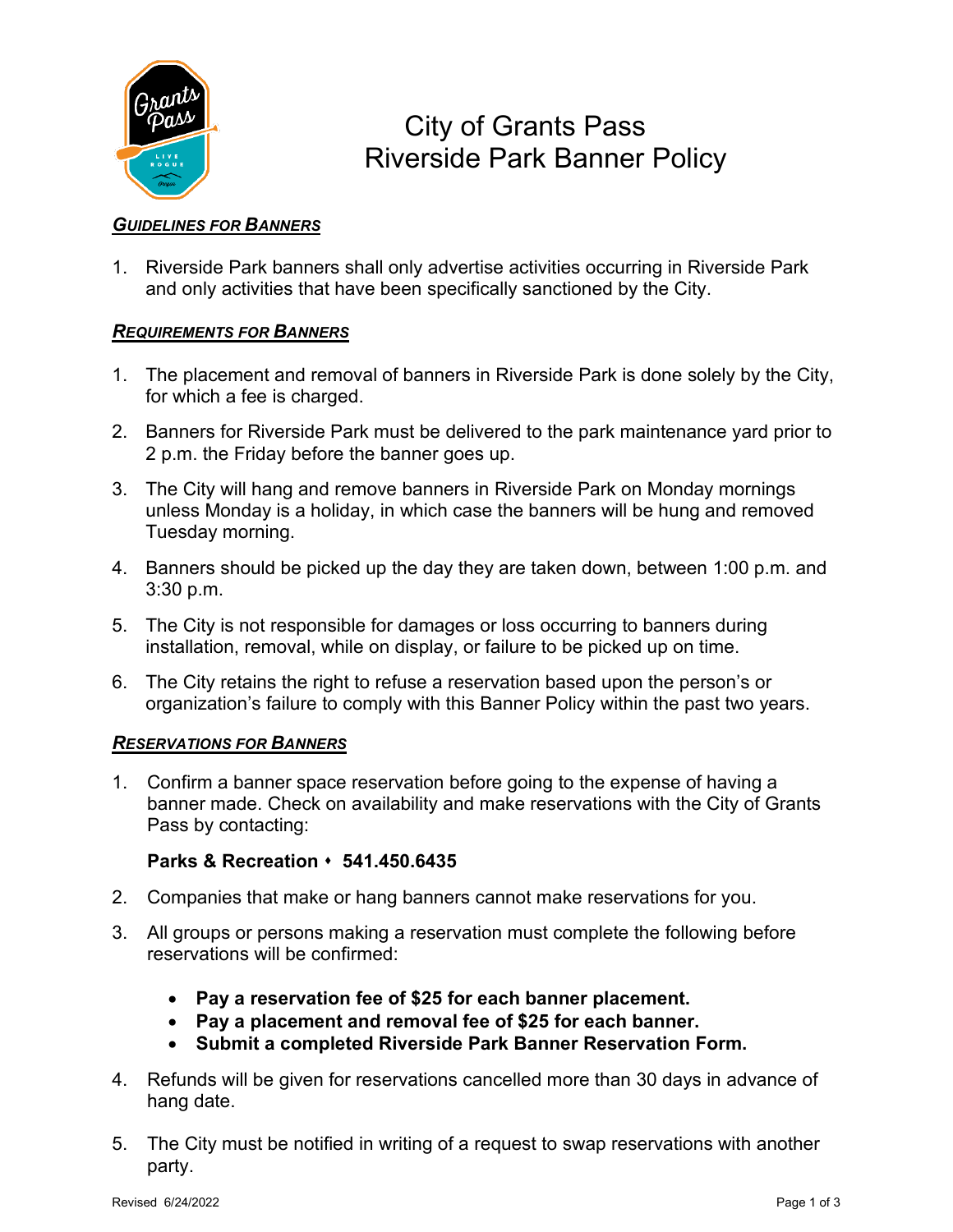

# City of Grants Pass Riverside Park Banner Policy

## *GUIDELINES FOR BANNERS*

1. Riverside Park banners shall only advertise activities occurring in Riverside Park and only activities that have been specifically sanctioned by the City.

### *REQUIREMENTS FOR BANNERS*

- 1. The placement and removal of banners in Riverside Park is done solely by the City, for which a fee is charged.
- 2. Banners for Riverside Park must be delivered to the park maintenance yard prior to 2 p.m. the Friday before the banner goes up.
- 3. The City will hang and remove banners in Riverside Park on Monday mornings unless Monday is a holiday, in which case the banners will be hung and removed Tuesday morning.
- 4. Banners should be picked up the day they are taken down, between 1:00 p.m. and 3:30 p.m.
- 5. The City is not responsible for damages or loss occurring to banners during installation, removal, while on display, or failure to be picked up on time.
- 6. The City retains the right to refuse a reservation based upon the person's or organization's failure to comply with this Banner Policy within the past two years.

#### *RESERVATIONS FOR BANNERS*

1. Confirm a banner space reservation before going to the expense of having a banner made. Check on availability and make reservations with the City of Grants Pass by contacting:

#### **Parks & Recreation 541.450.6435**

- 2. Companies that make or hang banners cannot make reservations for you.
- 3. All groups or persons making a reservation must complete the following before reservations will be confirmed:
	- **Pay a reservation fee of \$25 for each banner placement.**
	- **Pay a placement and removal fee of \$25 for each banner.**
	- **Submit a completed Riverside Park Banner Reservation Form.**
- 4. Refunds will be given for reservations cancelled more than 30 days in advance of hang date.
- 5. The City must be notified in writing of a request to swap reservations with another party.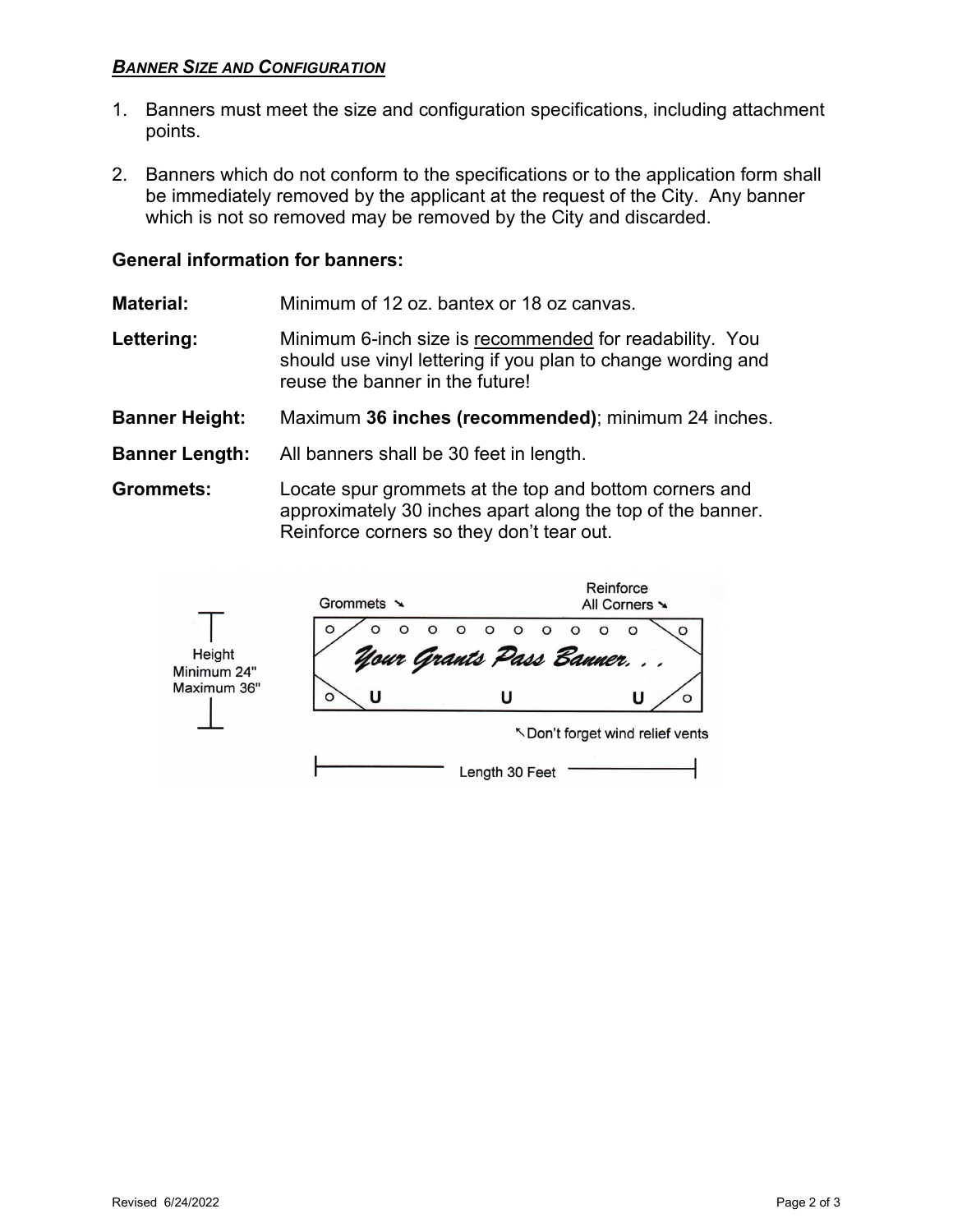### *BANNER SIZE AND CONFIGURATION*

- 1. Banners must meet the size and configuration specifications, including attachment points.
- 2. Banners which do not conform to the specifications or to the application form shall be immediately removed by the applicant at the request of the City. Any banner which is not so removed may be removed by the City and discarded.

#### **General information for banners:**

**Material:** Minimum of 12 oz. bantex or 18 oz canvas.

- Lettering: Minimum 6-inch size is recommended for readability. You should use vinyl lettering if you plan to change wording and reuse the banner in the future!
- **Banner Height:** Maximum **36 inches (recommended)**; minimum 24 inches.
- **Banner Length:** All banners shall be 30 feet in length.

r

**Grommets:** Locate spur grommets at the top and bottom corners and approximately 30 inches apart along the top of the banner. Reinforce corners so they don't tear out.

|                                      | Grommets $\sim$                                                |  |  |  | Reinforce<br>All Corners ~ |                                  |
|--------------------------------------|----------------------------------------------------------------|--|--|--|----------------------------|----------------------------------|
| Height<br>Minimum 24"<br>Maximum 36" | ' o o o o o o o o o o \<br>Uour Grants Pass Banner.<br>$\circ$ |  |  |  |                            |                                  |
|                                      | O                                                              |  |  |  |                            |                                  |
|                                      |                                                                |  |  |  |                            | 下 Don't forget wind relief vents |

Length 30 Feet  $-$